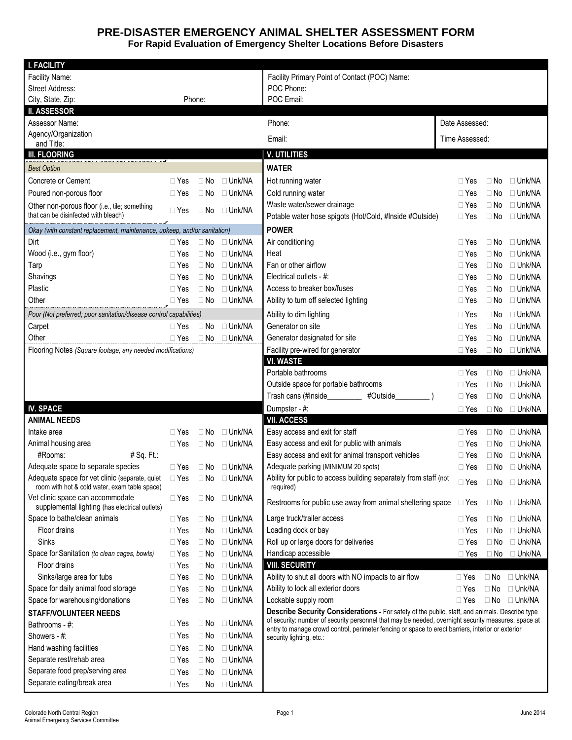## **PRE-DISASTER EMERGENCY ANIMAL SHELTER ASSESSMENT FORM For Rapid Evaluation of Emergency Shelter Locations Before Disasters**

| <b>I. FACILITY</b>                                                                                                                                                                         |            |           |                         |                                                                                                                                                                                                          |                |           |                         |
|--------------------------------------------------------------------------------------------------------------------------------------------------------------------------------------------|------------|-----------|-------------------------|----------------------------------------------------------------------------------------------------------------------------------------------------------------------------------------------------------|----------------|-----------|-------------------------|
| Facility Name:                                                                                                                                                                             |            |           |                         | Facility Primary Point of Contact (POC) Name:                                                                                                                                                            |                |           |                         |
| Street Address:                                                                                                                                                                            |            |           | POC Phone:              |                                                                                                                                                                                                          |                |           |                         |
| City, State, Zip:<br>Phone:                                                                                                                                                                |            |           | POC Email:              |                                                                                                                                                                                                          |                |           |                         |
| <b>II. ASSESSOR</b>                                                                                                                                                                        |            |           |                         |                                                                                                                                                                                                          |                |           |                         |
| Assessor Name:                                                                                                                                                                             |            |           |                         | Phone:                                                                                                                                                                                                   | Date Assessed: |           |                         |
| Agency/Organization                                                                                                                                                                        |            |           |                         | Email:                                                                                                                                                                                                   | Time Assessed: |           |                         |
| and Title:                                                                                                                                                                                 |            |           |                         |                                                                                                                                                                                                          |                |           |                         |
| <b>III. FLOORING</b>                                                                                                                                                                       |            |           |                         | <b>V. UTILITIES</b>                                                                                                                                                                                      |                |           |                         |
| <b>Best Option</b>                                                                                                                                                                         |            |           |                         | <b>WATER</b>                                                                                                                                                                                             |                |           |                         |
| Concrete or Cement                                                                                                                                                                         | $\Box$ Yes | $\Box$ No | $\Box$ Unk/NA           | Hot running water                                                                                                                                                                                        | $\Box$ Yes     | $\Box$ No | $\Box$ Unk/NA           |
| Poured non-porous floor                                                                                                                                                                    | $\Box$ Yes | $\Box$ No | $\Box$ Unk/NA           | Cold running water                                                                                                                                                                                       | $\Box$ Yes     | $\Box$ No | $\Box$ Unk/NA           |
| Other non-porous floor (i.e., tile; something                                                                                                                                              | $\Box$ Yes | $\Box$ No | □ Unk/NA                | Waste water/sewer drainage                                                                                                                                                                               | $\Box$ Yes     | $\Box$ No | $\Box$ Unk/NA           |
| that can be disinfected with bleach)                                                                                                                                                       |            |           |                         | Potable water hose spigots (Hot/Cold, #Inside #Outside)                                                                                                                                                  | $\Box$ Yes     | $\Box$ No | $\Box$ Unk/NA           |
| "אני מוס באות באות באות הארבאות מוס באות הארבאות באות מוס באות הארבאות הארבאות באות באות באות באות באות הארבאו<br>Okay (with constant replacement, maintenance, upkeep, and/or sanitation) |            |           |                         | <b>POWER</b>                                                                                                                                                                                             |                |           |                         |
| Dirt                                                                                                                                                                                       | $\Box$ Yes | $\Box$ No | $\Box$ Unk/NA           | Air conditioning                                                                                                                                                                                         | $\Box$ Yes     | $\Box$ No | $\Box$ Unk/NA           |
| Wood (i.e., gym floor)                                                                                                                                                                     | $\Box$ Yes | $\Box$ No | $\Box$ Unk/NA           | Heat                                                                                                                                                                                                     | $\Box$ Yes     | $\Box$ No | $\Box$ Unk/NA           |
| Tarp                                                                                                                                                                                       | $\Box$ Yes | $\Box$ No | $\Box$ Unk/NA           | Fan or other airflow                                                                                                                                                                                     | $\Box$ Yes     | $\Box$ No | $\Box$ Unk/NA           |
| Shavings                                                                                                                                                                                   | $\Box$ Yes | $\Box$ No | $\Box$ Unk/NA           | Electrical outlets - #:                                                                                                                                                                                  | $\Box$ Yes     | $\Box$ No | $\Box$ Unk/NA           |
| Plastic                                                                                                                                                                                    | $\Box$ Yes | $\Box$ No | $\Box$ Unk/NA           | Access to breaker box/fuses                                                                                                                                                                              | $\Box$ Yes     | $\Box$ No | $\Box$ Unk/NA           |
| Other                                                                                                                                                                                      | $\Box$ Yes |           | $\Box$ No $\Box$ Unk/NA | Ability to turn off selected lighting                                                                                                                                                                    | $\Box$ Yes     | $\Box$ No | $\Box$ Unk/NA           |
| Poor (Not preferred; poor sanitation/disease control capabilities)                                                                                                                         |            |           |                         | Ability to dim lighting                                                                                                                                                                                  | $\Box$ Yes     | $\Box$ No | $\Box$ Unk/NA           |
| Carpet                                                                                                                                                                                     | $\Box$ Yes | $\Box$ No | $\Box$ Unk/NA           | Generator on site                                                                                                                                                                                        | $\Box$ Yes     | $\Box$ No | $\Box$ Unk/NA           |
| Other                                                                                                                                                                                      | $\Box$ Yes |           | $\Box$ No $\Box$ Unk/NA | Generator designated for site                                                                                                                                                                            | $\Box$ Yes     | $\Box$ No | $\Box$ Unk/NA           |
| Flooring Notes (Square footage, any needed modifications)                                                                                                                                  |            |           |                         | Facility pre-wired for generator                                                                                                                                                                         | $\Box$ Yes     |           | $\Box$ No $\Box$ Unk/NA |
|                                                                                                                                                                                            |            |           | <b>VI. WASTE</b>        |                                                                                                                                                                                                          |                |           |                         |
|                                                                                                                                                                                            |            |           |                         | Portable bathrooms                                                                                                                                                                                       | $\Box$ Yes     | $\Box$ No | □ Unk/NA                |
|                                                                                                                                                                                            |            |           |                         | Outside space for portable bathrooms                                                                                                                                                                     | $\Box$ Yes     | $\Box$ No | $\Box$ Unk/NA           |
|                                                                                                                                                                                            |            |           |                         | Trash cans (#Inside_________<br>#Outside                                                                                                                                                                 | $\Box$ Yes     | $\Box$ No | $\Box$ Unk/NA           |
| <b>IV. SPACE</b>                                                                                                                                                                           |            |           |                         | Dumpster - #:                                                                                                                                                                                            | $\Box$ Yes     |           | $\Box$ No $\Box$ Unk/NA |
| <b>ANIMAL NEEDS</b>                                                                                                                                                                        |            |           |                         | <b>VII. ACCESS</b>                                                                                                                                                                                       |                |           |                         |
| Intake area                                                                                                                                                                                | $\Box$ Yes | $\Box$ No | $\Box$ Unk/NA           | Easy access and exit for staff                                                                                                                                                                           | $\Box$ Yes     | $\Box$ No | $\Box$ Unk/NA           |
| Animal housing area                                                                                                                                                                        | $\Box$ Yes | $\Box$ No | □ Unk/NA                | Easy access and exit for public with animals                                                                                                                                                             | $\Box$ Yes     | $\Box$ No | $\Box$ Unk/NA           |
| #Rooms:<br>$#$ Sq. Ft.:                                                                                                                                                                    |            |           |                         | Easy access and exit for animal transport vehicles                                                                                                                                                       | $\Box$ Yes     | $\Box$ No | $\Box$ Unk/NA           |
| Adequate space to separate species                                                                                                                                                         | $\Box$ Yes |           | $\Box$ No $\Box$ Unk/NA | Adequate parking (MINIMUM 20 spots)                                                                                                                                                                      | $\Box$ Yes     | $\Box$ No | $\Box$ Unk/NA           |
| Adequate space for vet clinic (separate, quiet                                                                                                                                             | $\Box$ Yes | $\Box$ No | □ Unk/NA                | Ability for public to access building separately from staff (not                                                                                                                                         | $\Box$ Yes     | $\Box$ No | □ Unk/NA                |
| room with hot & cold water, exam table space)                                                                                                                                              |            |           |                         | required)                                                                                                                                                                                                |                |           |                         |
| Vet clinic space can accommodate                                                                                                                                                           | $\Box$ Yes |           | $\Box$ No $\Box$ Unk/NA | Restrooms for public use away from animal sheltering space                                                                                                                                               | $\Box$ Yes     | $\Box$ No | □ Unk/NA                |
| supplemental lighting (has electrical outlets)<br>Space to bathe/clean animals                                                                                                             | $\Box$ Yes |           | $\Box$ No $\Box$ Unk/NA | Large truck/trailer access                                                                                                                                                                               | $\Box$ Yes     | $\Box$ No | $\Box$ Unk/NA           |
| Floor drains                                                                                                                                                                               | $\Box$ Yes | $\Box$ No | $\Box$ Unk/NA           | Loading dock or bay                                                                                                                                                                                      | $\Box$ Yes     | $\Box$ No | $\Box$ Unk/NA           |
| Sinks                                                                                                                                                                                      | $\Box$ Yes | $\Box$ No | $\square$ Unk/NA        | Roll up or large doors for deliveries                                                                                                                                                                    | $\Box$ Yes     | $\Box$ No | $\Box$ Unk/NA           |
| Space for Sanitation (to clean cages, bowls)                                                                                                                                               | $\Box$ Yes | $\Box$ No | □ Unk/NA                | Handicap accessible                                                                                                                                                                                      | $\Box$ Yes     | $\Box$ No | □ Unk/NA                |
| Floor drains                                                                                                                                                                               | $\Box$ Yes | $\Box$ No | $\Box$ Unk/NA           | <b>VIII. SECURITY</b>                                                                                                                                                                                    |                |           |                         |
| Sinks/large area for tubs                                                                                                                                                                  | $\Box$ Yes | $\Box$ No | $\Box$ Unk/NA           | Ability to shut all doors with NO impacts to air flow                                                                                                                                                    | $\Box$ Yes     | $\Box$ No | □ Unk/NA                |
| Space for daily animal food storage                                                                                                                                                        | $\Box$ Yes | $\Box$ No | $\Box$ Unk/NA           | Ability to lock all exterior doors                                                                                                                                                                       | $\sqcap$ Yes   | $\Box$ No | $\Box$ Unk/NA           |
| Space for warehousing/donations                                                                                                                                                            | $\Box$ Yes | $\Box$ No | □ Unk/NA                | Lockable supply room                                                                                                                                                                                     | $\Box$ Yes     |           | $\Box$ No $\Box$ Unk/NA |
| <b>STAFF/VOLUNTEER NEEDS</b>                                                                                                                                                               |            |           |                         | Describe Security Considerations - For safety of the public, staff, and animals. Describe type                                                                                                           |                |           |                         |
| Bathrooms - #:                                                                                                                                                                             | $\Box$ Yes | $\Box$ No | $\Box$ Unk/NA           | of security: number of security personnel that may be needed, overnight security measures, space at<br>entry to manage crowd control, perimeter fencing or space to erect barriers, interior or exterior |                |           |                         |
| Showers - #:                                                                                                                                                                               | $\Box$ Yes | $\Box$ No | $\Box$ Unk/NA           |                                                                                                                                                                                                          |                |           |                         |
| Hand washing facilities                                                                                                                                                                    | $\Box$ Yes | $\Box$ No | $\Box$ Unk/NA           | security lighting, etc.:                                                                                                                                                                                 |                |           |                         |
| Separate rest/rehab area                                                                                                                                                                   | $\Box$ Yes | $\Box$ No | $\Box$ Unk/NA           |                                                                                                                                                                                                          |                |           |                         |
| Separate food prep/serving area                                                                                                                                                            |            |           | $\Box$ Unk/NA           |                                                                                                                                                                                                          |                |           |                         |
| Separate eating/break area                                                                                                                                                                 | $\Box$ Yes | $\Box$ No |                         |                                                                                                                                                                                                          |                |           |                         |
|                                                                                                                                                                                            | $\Box$ Yes |           | □ No □ Unk/NA           |                                                                                                                                                                                                          |                |           |                         |